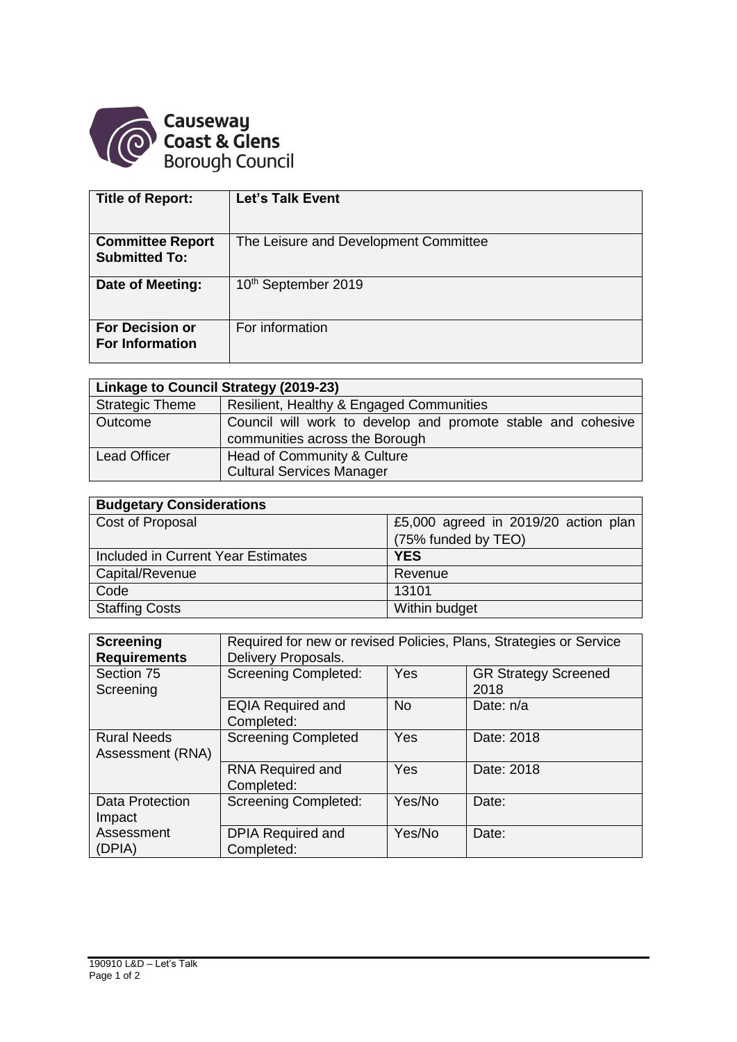

| <b>Title of Report:</b> | <b>Let's Talk Event</b>               |
|-------------------------|---------------------------------------|
|                         |                                       |
| <b>Committee Report</b> | The Leisure and Development Committee |
| <b>Submitted To:</b>    |                                       |
| Date of Meeting:        | 10 <sup>th</sup> September 2019       |
|                         |                                       |
| <b>For Decision or</b>  | For information                       |
| <b>For Information</b>  |                                       |
|                         |                                       |

| Linkage to Council Strategy (2019-23) |                                                                                                |  |  |  |  |
|---------------------------------------|------------------------------------------------------------------------------------------------|--|--|--|--|
| <b>Strategic Theme</b>                | Resilient, Healthy & Engaged Communities                                                       |  |  |  |  |
| Outcome                               | Council will work to develop and promote stable and cohesive<br>communities across the Borough |  |  |  |  |
| <b>Lead Officer</b>                   | Head of Community & Culture<br><b>Cultural Services Manager</b>                                |  |  |  |  |

| <b>Budgetary Considerations</b>    |                                      |  |  |  |  |
|------------------------------------|--------------------------------------|--|--|--|--|
| Cost of Proposal                   | £5,000 agreed in 2019/20 action plan |  |  |  |  |
|                                    | (75% funded by TEO)                  |  |  |  |  |
| Included in Current Year Estimates | <b>YES</b>                           |  |  |  |  |
| Capital/Revenue                    | Revenue                              |  |  |  |  |
| Code                               | 13101                                |  |  |  |  |
| <b>Staffing Costs</b>              | Within budget                        |  |  |  |  |

| <b>Screening</b><br><b>Requirements</b> | Required for new or revised Policies, Plans, Strategies or Service<br>Delivery Proposals. |           |                                     |  |
|-----------------------------------------|-------------------------------------------------------------------------------------------|-----------|-------------------------------------|--|
| Section 75<br>Screening                 | <b>Screening Completed:</b>                                                               | Yes       | <b>GR Strategy Screened</b><br>2018 |  |
|                                         | <b>EQIA Required and</b><br>Completed:                                                    | <b>No</b> | Date: $n/a$                         |  |
| <b>Rural Needs</b><br>Assessment (RNA)  | <b>Screening Completed</b>                                                                | Yes       | Date: 2018                          |  |
|                                         | <b>RNA Required and</b><br>Completed:                                                     | Yes       | Date: 2018                          |  |
| <b>Data Protection</b><br>Impact        | <b>Screening Completed:</b>                                                               | Yes/No    | Date:                               |  |
| Assessment<br>(DPIA)                    | <b>DPIA Required and</b><br>Completed:                                                    | Yes/No    | Date:                               |  |